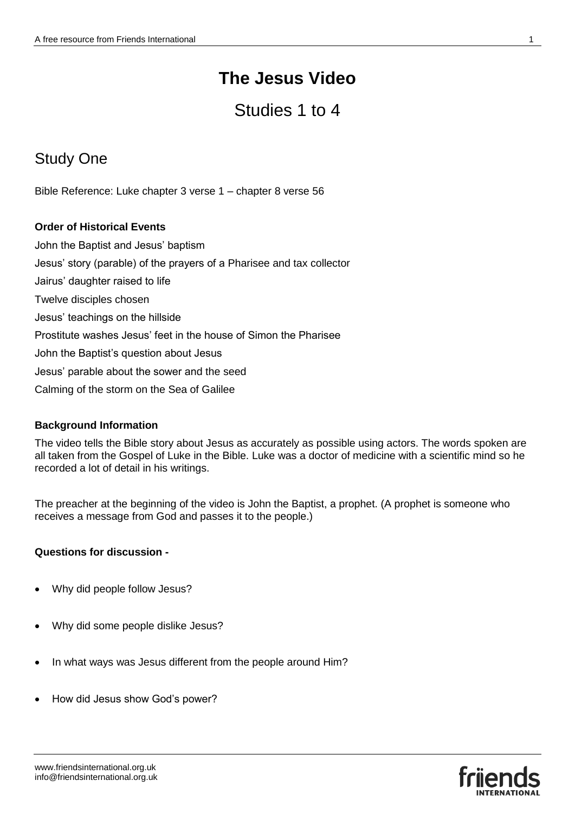# Studies 1 to 4

# Study One

Bible Reference: Luke chapter 3 verse 1 – chapter 8 verse 56

## **Order of Historical Events**

John the Baptist and Jesus' baptism Jesus' story (parable) of the prayers of a Pharisee and tax collector Jairus' daughter raised to life Twelve disciples chosen Jesus' teachings on the hillside Prostitute washes Jesus' feet in the house of Simon the Pharisee John the Baptist's question about Jesus Jesus' parable about the sower and the seed Calming of the storm on the Sea of Galilee

## **Background Information**

The video tells the Bible story about Jesus as accurately as possible using actors. The words spoken are all taken from the Gospel of Luke in the Bible. Luke was a doctor of medicine with a scientific mind so he recorded a lot of detail in his writings.

The preacher at the beginning of the video is John the Baptist, a prophet. (A prophet is someone who receives a message from God and passes it to the people.)

## **Questions for discussion -**

- Why did people follow Jesus?
- Why did some people dislike Jesus?
- In what ways was Jesus different from the people around Him?
- How did Jesus show God's power?

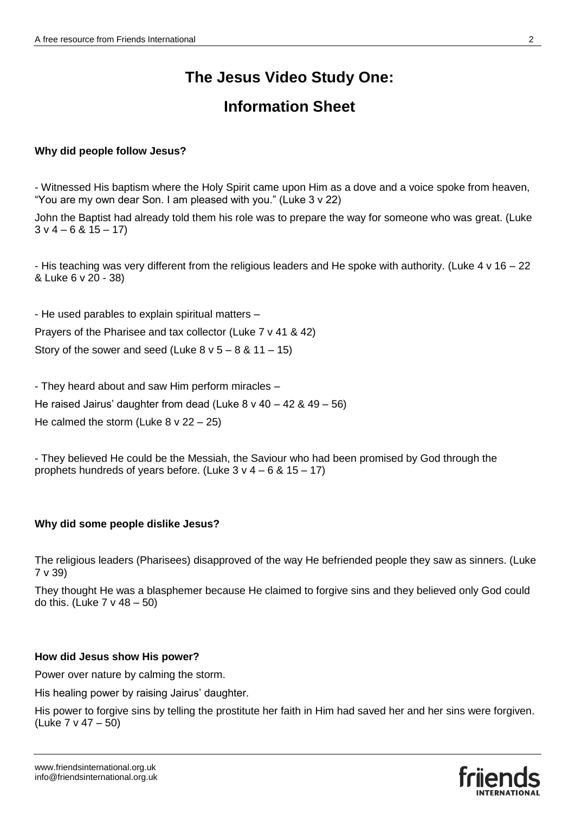# **The Jesus Video Study One:**

## **Information Sheet**

## **Why did people follow Jesus?**

- Witnessed His baptism where the Holy Spirit came upon Him as a dove and a voice spoke from heaven, "You are my own dear Son. I am pleased with you." (Luke 3 v 22)

John the Baptist had already told them his role was to prepare the way for someone who was great. (Luke  $3 \vee 4 - 6 \& 15 - 17$ 

- His teaching was very different from the religious leaders and He spoke with authority. (Luke 4 v 16 – 22 & Luke 6 v 20 - 38)

- He used parables to explain spiritual matters –

Prayers of the Pharisee and tax collector (Luke 7 v 41 & 42)

Story of the sower and seed (Luke  $8 \vee 5 - 8 \& 11 - 15$ )

- They heard about and saw Him perform miracles –

He raised Jairus' daughter from dead (Luke 8 v 40 – 42 & 49 – 56)

He calmed the storm (Luke  $8 \vee 22 - 25$ )

- They believed He could be the Messiah, the Saviour who had been promised by God through the prophets hundreds of years before. (Luke  $3 \vee 4 - 6 \& 15 - 17$ )

## **Why did some people dislike Jesus?**

The religious leaders (Pharisees) disapproved of the way He befriended people they saw as sinners. (Luke 7 v 39)

They thought He was a blasphemer because He claimed to forgive sins and they believed only God could do this. (Luke  $7 \vee 48 - 50$ )

#### **How did Jesus show His power?**

Power over nature by calming the storm.

His healing power by raising Jairus' daughter.

His power to forgive sins by telling the prostitute her faith in Him had saved her and her sins were forgiven. (Luke 7 v 47 – 50)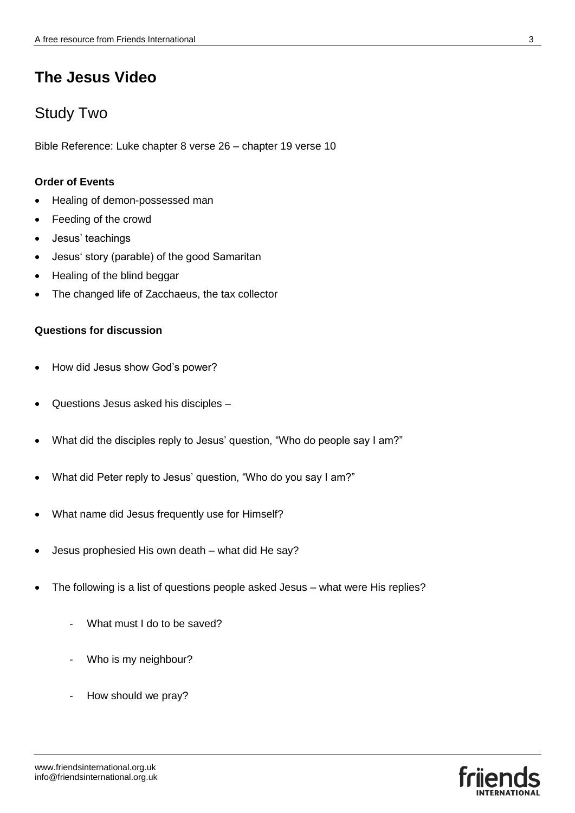## Study Two

Bible Reference: Luke chapter 8 verse 26 – chapter 19 verse 10

## **Order of Events**

- Healing of demon-possessed man
- Feeding of the crowd
- Jesus' teachings
- Jesus' story (parable) of the good Samaritan
- Healing of the blind beggar
- The changed life of Zacchaeus, the tax collector

## **Questions for discussion**

- How did Jesus show God's power?
- Questions Jesus asked his disciples –
- What did the disciples reply to Jesus' question, "Who do people say I am?"
- What did Peter reply to Jesus' question, "Who do you say I am?"
- What name did Jesus frequently use for Himself?
- Jesus prophesied His own death what did He say?
- The following is a list of questions people asked Jesus what were His replies?
	- What must I do to be saved?
	- Who is my neighbour?
	- How should we pray?

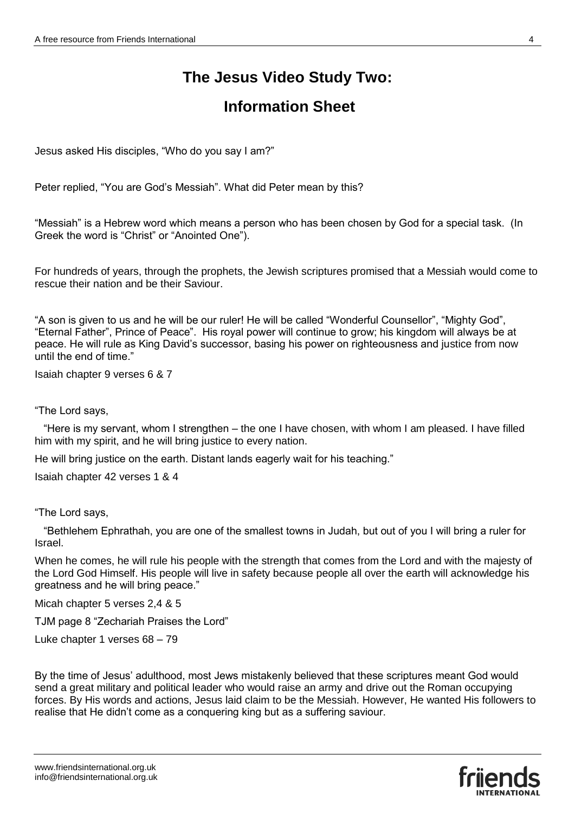# **The Jesus Video Study Two:**

## **Information Sheet**

Jesus asked His disciples, "Who do you say I am?"

Peter replied, "You are God's Messiah". What did Peter mean by this?

"Messiah" is a Hebrew word which means a person who has been chosen by God for a special task. (In Greek the word is "Christ" or "Anointed One").

For hundreds of years, through the prophets, the Jewish scriptures promised that a Messiah would come to rescue their nation and be their Saviour.

"A son is given to us and he will be our ruler! He will be called "Wonderful Counsellor", "Mighty God", "Eternal Father", Prince of Peace". His royal power will continue to grow; his kingdom will always be at peace. He will rule as King David's successor, basing his power on righteousness and justice from now until the end of time."

Isaiah chapter 9 verses 6 & 7

"The Lord says,

 "Here is my servant, whom I strengthen – the one I have chosen, with whom I am pleased. I have filled him with my spirit, and he will bring justice to every nation.

He will bring justice on the earth. Distant lands eagerly wait for his teaching."

Isaiah chapter 42 verses 1 & 4

"The Lord says,

 "Bethlehem Ephrathah, you are one of the smallest towns in Judah, but out of you I will bring a ruler for Israel.

When he comes, he will rule his people with the strength that comes from the Lord and with the majesty of the Lord God Himself. His people will live in safety because people all over the earth will acknowledge his greatness and he will bring peace."

Micah chapter 5 verses 2,4 & 5

TJM page 8 "Zechariah Praises the Lord"

Luke chapter 1 verses 68 – 79

By the time of Jesus' adulthood, most Jews mistakenly believed that these scriptures meant God would send a great military and political leader who would raise an army and drive out the Roman occupying forces. By His words and actions, Jesus laid claim to be the Messiah. However, He wanted His followers to realise that He didn't come as a conquering king but as a suffering saviour.

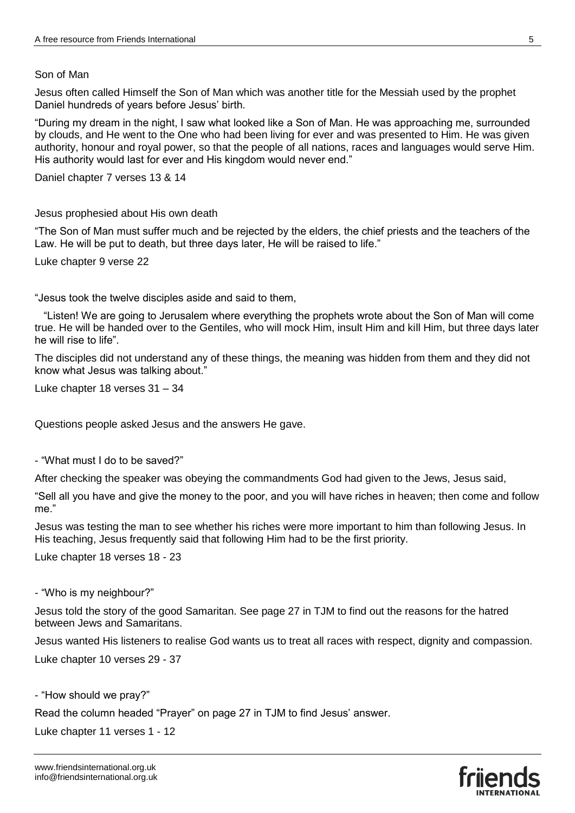#### Son of Man

Jesus often called Himself the Son of Man which was another title for the Messiah used by the prophet Daniel hundreds of years before Jesus' birth.

"During my dream in the night, I saw what looked like a Son of Man. He was approaching me, surrounded by clouds, and He went to the One who had been living for ever and was presented to Him. He was given authority, honour and royal power, so that the people of all nations, races and languages would serve Him. His authority would last for ever and His kingdom would never end."

Daniel chapter 7 verses 13 & 14

Jesus prophesied about His own death

"The Son of Man must suffer much and be rejected by the elders, the chief priests and the teachers of the Law. He will be put to death, but three days later, He will be raised to life."

Luke chapter 9 verse 22

"Jesus took the twelve disciples aside and said to them,

 "Listen! We are going to Jerusalem where everything the prophets wrote about the Son of Man will come true. He will be handed over to the Gentiles, who will mock Him, insult Him and kill Him, but three days later he will rise to life".

The disciples did not understand any of these things, the meaning was hidden from them and they did not know what Jesus was talking about."

Luke chapter 18 verses 31 – 34

Questions people asked Jesus and the answers He gave.

- "What must I do to be saved?"

After checking the speaker was obeying the commandments God had given to the Jews, Jesus said,

"Sell all you have and give the money to the poor, and you will have riches in heaven; then come and follow me."

Jesus was testing the man to see whether his riches were more important to him than following Jesus. In His teaching, Jesus frequently said that following Him had to be the first priority.

Luke chapter 18 verses 18 - 23

- "Who is my neighbour?"

Jesus told the story of the good Samaritan. See page 27 in TJM to find out the reasons for the hatred between Jews and Samaritans.

Jesus wanted His listeners to realise God wants us to treat all races with respect, dignity and compassion.

Luke chapter 10 verses 29 - 37

- "How should we pray?"

Read the column headed "Prayer" on page 27 in TJM to find Jesus' answer.

Luke chapter 11 verses 1 - 12

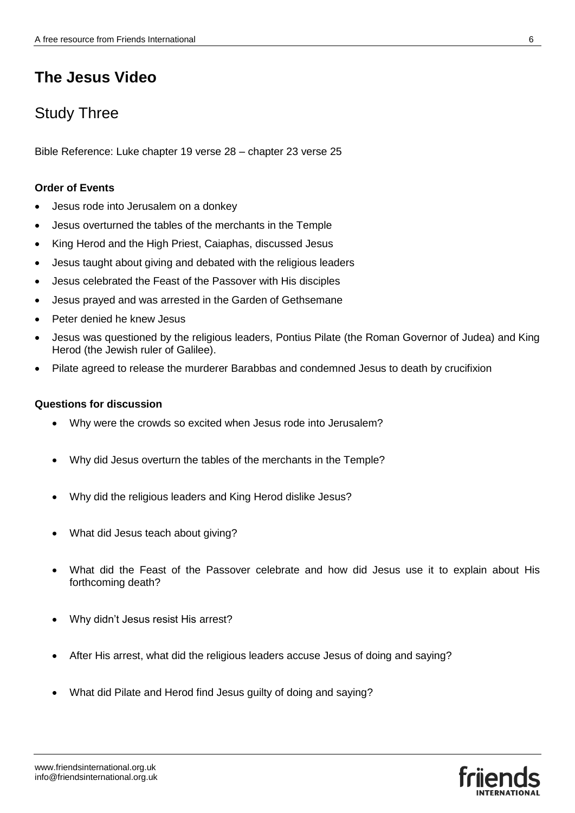## Study Three

Bible Reference: Luke chapter 19 verse 28 – chapter 23 verse 25

#### **Order of Events**

- Jesus rode into Jerusalem on a donkey
- Jesus overturned the tables of the merchants in the Temple
- King Herod and the High Priest, Caiaphas, discussed Jesus
- Jesus taught about giving and debated with the religious leaders
- Jesus celebrated the Feast of the Passover with His disciples
- Jesus prayed and was arrested in the Garden of Gethsemane
- Peter denied he knew Jesus
- Jesus was questioned by the religious leaders, Pontius Pilate (the Roman Governor of Judea) and King Herod (the Jewish ruler of Galilee).
- Pilate agreed to release the murderer Barabbas and condemned Jesus to death by crucifixion

#### **Questions for discussion**

- Why were the crowds so excited when Jesus rode into Jerusalem?
- Why did Jesus overturn the tables of the merchants in the Temple?
- Why did the religious leaders and King Herod dislike Jesus?
- What did Jesus teach about giving?
- What did the Feast of the Passover celebrate and how did Jesus use it to explain about His forthcoming death?
- Why didn't Jesus resist His arrest?
- After His arrest, what did the religious leaders accuse Jesus of doing and saying?
- What did Pilate and Herod find Jesus guilty of doing and saying?

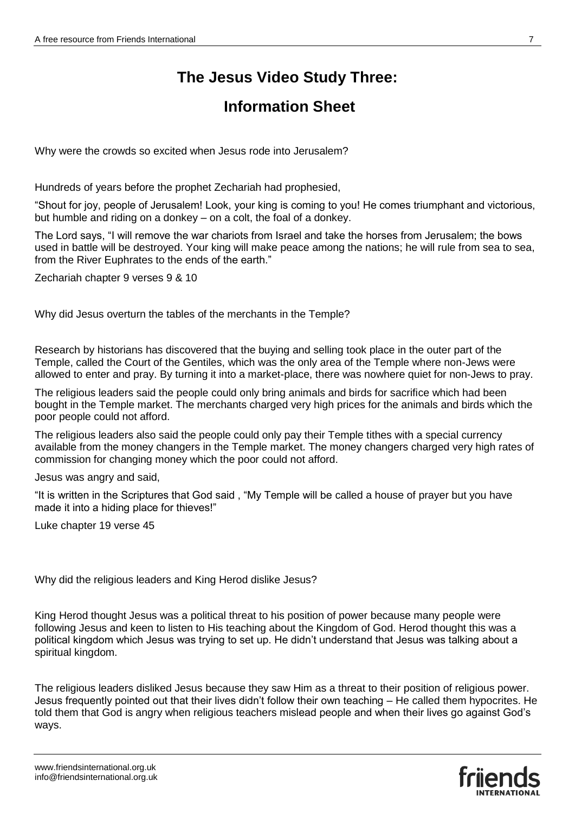# **The Jesus Video Study Three:**

## **Information Sheet**

Why were the crowds so excited when Jesus rode into Jerusalem?

Hundreds of years before the prophet Zechariah had prophesied,

"Shout for joy, people of Jerusalem! Look, your king is coming to you! He comes triumphant and victorious, but humble and riding on a donkey – on a colt, the foal of a donkey.

The Lord says, "I will remove the war chariots from Israel and take the horses from Jerusalem; the bows used in battle will be destroyed. Your king will make peace among the nations; he will rule from sea to sea, from the River Euphrates to the ends of the earth."

Zechariah chapter 9 verses 9 & 10

Why did Jesus overturn the tables of the merchants in the Temple?

Research by historians has discovered that the buying and selling took place in the outer part of the Temple, called the Court of the Gentiles, which was the only area of the Temple where non-Jews were allowed to enter and pray. By turning it into a market-place, there was nowhere quiet for non-Jews to pray.

The religious leaders said the people could only bring animals and birds for sacrifice which had been bought in the Temple market. The merchants charged very high prices for the animals and birds which the poor people could not afford.

The religious leaders also said the people could only pay their Temple tithes with a special currency available from the money changers in the Temple market. The money changers charged very high rates of commission for changing money which the poor could not afford.

Jesus was angry and said,

"It is written in the Scriptures that God said , "My Temple will be called a house of prayer but you have made it into a hiding place for thieves!"

Luke chapter 19 verse 45

Why did the religious leaders and King Herod dislike Jesus?

King Herod thought Jesus was a political threat to his position of power because many people were following Jesus and keen to listen to His teaching about the Kingdom of God. Herod thought this was a political kingdom which Jesus was trying to set up. He didn't understand that Jesus was talking about a spiritual kingdom.

The religious leaders disliked Jesus because they saw Him as a threat to their position of religious power. Jesus frequently pointed out that their lives didn't follow their own teaching – He called them hypocrites. He told them that God is angry when religious teachers mislead people and when their lives go against God's ways.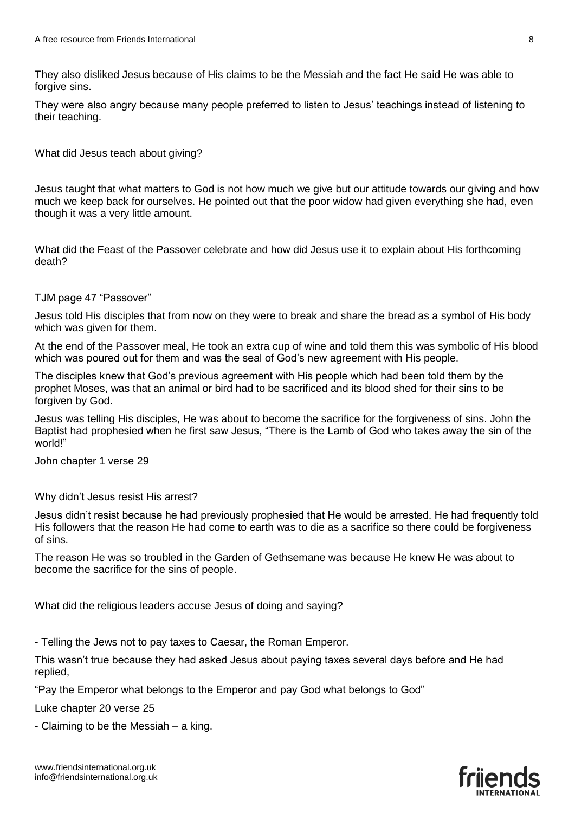They also disliked Jesus because of His claims to be the Messiah and the fact He said He was able to forgive sins.

They were also angry because many people preferred to listen to Jesus' teachings instead of listening to their teaching.

What did Jesus teach about giving?

Jesus taught that what matters to God is not how much we give but our attitude towards our giving and how much we keep back for ourselves. He pointed out that the poor widow had given everything she had, even though it was a very little amount.

What did the Feast of the Passover celebrate and how did Jesus use it to explain about His forthcoming death?

#### TJM page 47 "Passover"

Jesus told His disciples that from now on they were to break and share the bread as a symbol of His body which was given for them.

At the end of the Passover meal, He took an extra cup of wine and told them this was symbolic of His blood which was poured out for them and was the seal of God's new agreement with His people.

The disciples knew that God's previous agreement with His people which had been told them by the prophet Moses, was that an animal or bird had to be sacrificed and its blood shed for their sins to be forgiven by God.

Jesus was telling His disciples, He was about to become the sacrifice for the forgiveness of sins. John the Baptist had prophesied when he first saw Jesus, "There is the Lamb of God who takes away the sin of the world!"

John chapter 1 verse 29

Why didn't Jesus resist His arrest?

Jesus didn't resist because he had previously prophesied that He would be arrested. He had frequently told His followers that the reason He had come to earth was to die as a sacrifice so there could be forgiveness of sins.

The reason He was so troubled in the Garden of Gethsemane was because He knew He was about to become the sacrifice for the sins of people.

What did the religious leaders accuse Jesus of doing and saying?

- Telling the Jews not to pay taxes to Caesar, the Roman Emperor.

This wasn't true because they had asked Jesus about paying taxes several days before and He had replied,

"Pay the Emperor what belongs to the Emperor and pay God what belongs to God"

Luke chapter 20 verse 25

- Claiming to be the Messiah – a king.



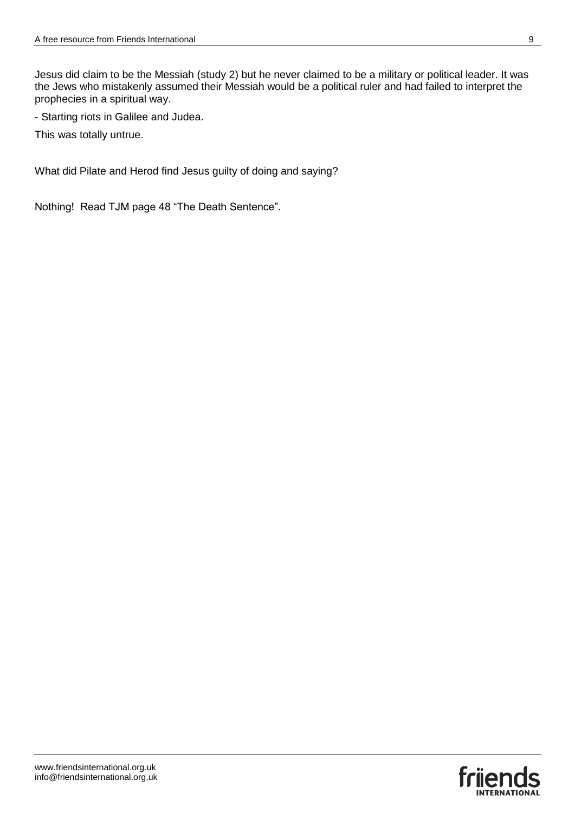Jesus did claim to be the Messiah (study 2) but he never claimed to be a military or political leader. It was the Jews who mistakenly assumed their Messiah would be a political ruler and had failed to interpret the prophecies in a spiritual way.

- Starting riots in Galilee and Judea.

This was totally untrue.

What did Pilate and Herod find Jesus guilty of doing and saying?

Nothing! Read TJM page 48 "The Death Sentence".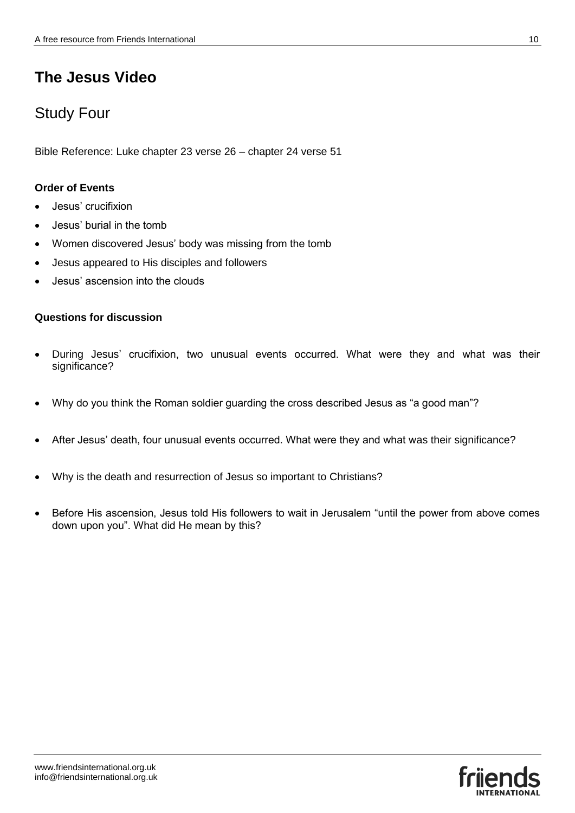## Study Four

Bible Reference: Luke chapter 23 verse 26 – chapter 24 verse 51

### **Order of Events**

- Jesus' crucifixion
- Jesus' burial in the tomb
- Women discovered Jesus' body was missing from the tomb
- Jesus appeared to His disciples and followers
- Jesus' ascension into the clouds

### **Questions for discussion**

- During Jesus' crucifixion, two unusual events occurred. What were they and what was their significance?
- Why do you think the Roman soldier guarding the cross described Jesus as "a good man"?
- After Jesus' death, four unusual events occurred. What were they and what was their significance?
- Why is the death and resurrection of Jesus so important to Christians?
- Before His ascension, Jesus told His followers to wait in Jerusalem "until the power from above comes down upon you". What did He mean by this?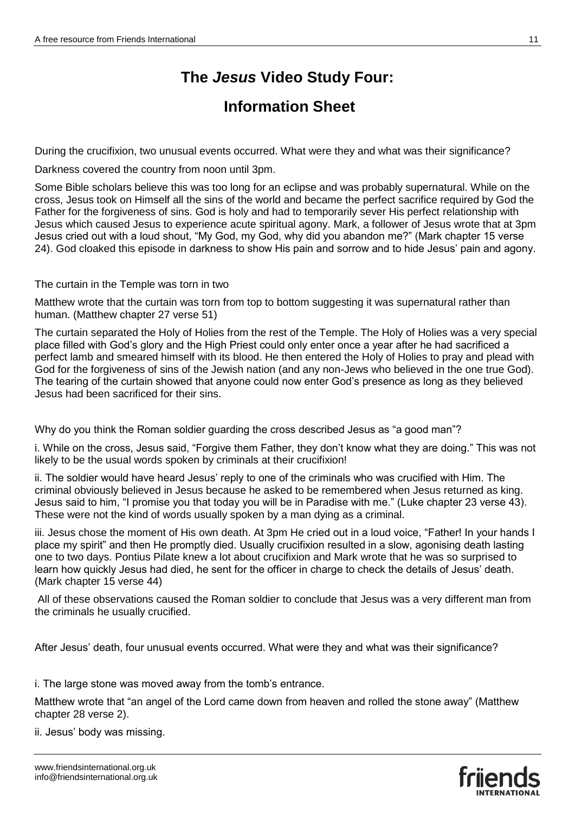# **The** *Jesus* **Video Study Four:**

## **Information Sheet**

During the crucifixion, two unusual events occurred. What were they and what was their significance?

Darkness covered the country from noon until 3pm.

Some Bible scholars believe this was too long for an eclipse and was probably supernatural. While on the cross, Jesus took on Himself all the sins of the world and became the perfect sacrifice required by God the Father for the forgiveness of sins. God is holy and had to temporarily sever His perfect relationship with Jesus which caused Jesus to experience acute spiritual agony. Mark, a follower of Jesus wrote that at 3pm Jesus cried out with a loud shout, "My God, my God, why did you abandon me?" (Mark chapter 15 verse 24). God cloaked this episode in darkness to show His pain and sorrow and to hide Jesus' pain and agony.

The curtain in the Temple was torn in two

Matthew wrote that the curtain was torn from top to bottom suggesting it was supernatural rather than human. (Matthew chapter 27 verse 51)

The curtain separated the Holy of Holies from the rest of the Temple. The Holy of Holies was a very special place filled with God's glory and the High Priest could only enter once a year after he had sacrificed a perfect lamb and smeared himself with its blood. He then entered the Holy of Holies to pray and plead with God for the forgiveness of sins of the Jewish nation (and any non-Jews who believed in the one true God). The tearing of the curtain showed that anyone could now enter God's presence as long as they believed Jesus had been sacrificed for their sins.

Why do you think the Roman soldier guarding the cross described Jesus as "a good man"?

i. While on the cross, Jesus said, "Forgive them Father, they don't know what they are doing." This was not likely to be the usual words spoken by criminals at their crucifixion!

ii. The soldier would have heard Jesus' reply to one of the criminals who was crucified with Him. The criminal obviously believed in Jesus because he asked to be remembered when Jesus returned as king. Jesus said to him, "I promise you that today you will be in Paradise with me." (Luke chapter 23 verse 43). These were not the kind of words usually spoken by a man dying as a criminal.

iii. Jesus chose the moment of His own death. At 3pm He cried out in a loud voice, "Father! In your hands I place my spirit" and then He promptly died. Usually crucifixion resulted in a slow, agonising death lasting one to two days. Pontius Pilate knew a lot about crucifixion and Mark wrote that he was so surprised to learn how quickly Jesus had died, he sent for the officer in charge to check the details of Jesus' death. (Mark chapter 15 verse 44)

All of these observations caused the Roman soldier to conclude that Jesus was a very different man from the criminals he usually crucified.

After Jesus' death, four unusual events occurred. What were they and what was their significance?

i. The large stone was moved away from the tomb's entrance.

Matthew wrote that "an angel of the Lord came down from heaven and rolled the stone away" (Matthew chapter 28 verse 2).

ii. Jesus' body was missing.

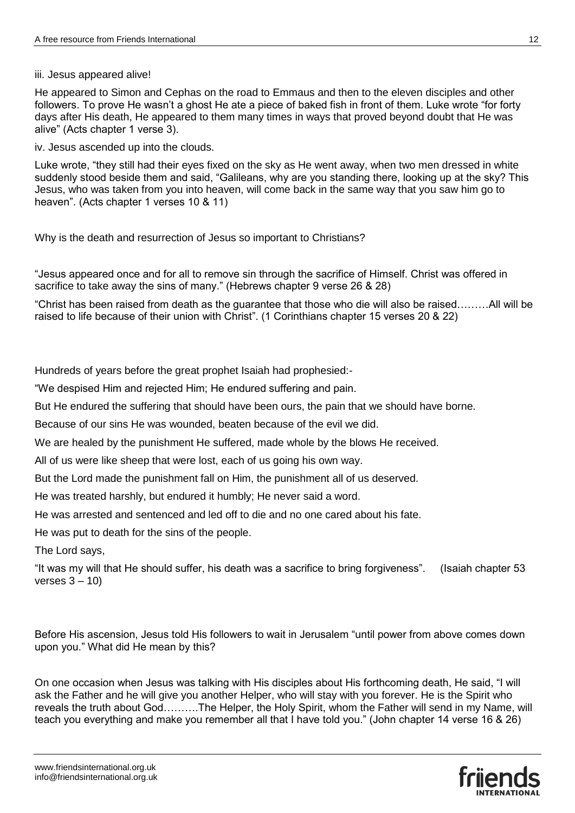iii. Jesus appeared alive!

He appeared to Simon and Cephas on the road to Emmaus and then to the eleven disciples and other followers. To prove He wasn't a ghost He ate a piece of baked fish in front of them. Luke wrote "for forty days after His death, He appeared to them many times in ways that proved beyond doubt that He was alive" (Acts chapter 1 verse 3).

iv. Jesus ascended up into the clouds.

Luke wrote, "they still had their eyes fixed on the sky as He went away, when two men dressed in white suddenly stood beside them and said, "Galileans, why are you standing there, looking up at the sky? This Jesus, who was taken from you into heaven, will come back in the same way that you saw him go to heaven". (Acts chapter 1 verses 10 & 11)

Why is the death and resurrection of Jesus so important to Christians?

"Jesus appeared once and for all to remove sin through the sacrifice of Himself. Christ was offered in sacrifice to take away the sins of many." (Hebrews chapter 9 verse 26 & 28)

"Christ has been raised from death as the guarantee that those who die will also be raised………All will be raised to life because of their union with Christ". (1 Corinthians chapter 15 verses 20 & 22)

Hundreds of years before the great prophet Isaiah had prophesied:-

"We despised Him and rejected Him; He endured suffering and pain.

But He endured the suffering that should have been ours, the pain that we should have borne.

Because of our sins He was wounded, beaten because of the evil we did.

We are healed by the punishment He suffered, made whole by the blows He received.

All of us were like sheep that were lost, each of us going his own way.

But the Lord made the punishment fall on Him, the punishment all of us deserved.

He was treated harshly, but endured it humbly; He never said a word.

He was arrested and sentenced and led off to die and no one cared about his fate.

He was put to death for the sins of the people.

The Lord says,

"It was my will that He should suffer, his death was a sacrifice to bring forgiveness". (Isaiah chapter 53 verses  $3 - 10$ )

Before His ascension, Jesus told His followers to wait in Jerusalem "until power from above comes down upon you." What did He mean by this?

On one occasion when Jesus was talking with His disciples about His forthcoming death, He said, "I will ask the Father and he will give you another Helper, who will stay with you forever. He is the Spirit who reveals the truth about God……….The Helper, the Holy Spirit, whom the Father will send in my Name, will teach you everything and make you remember all that I have told you." (John chapter 14 verse 16 & 26)